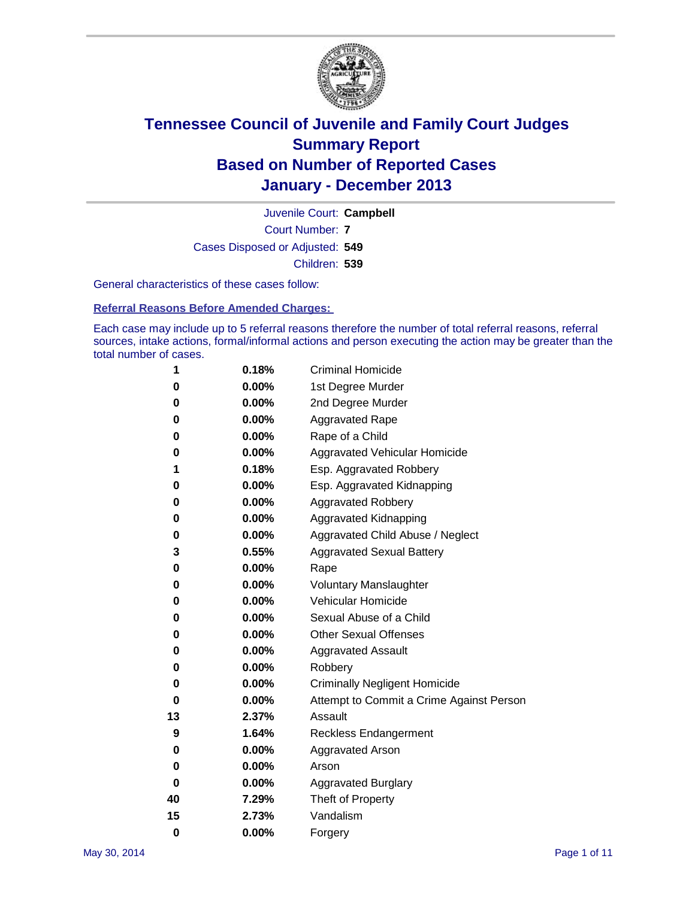

Court Number: **7** Juvenile Court: **Campbell** Cases Disposed or Adjusted: **549** Children: **539**

General characteristics of these cases follow:

**Referral Reasons Before Amended Charges:** 

Each case may include up to 5 referral reasons therefore the number of total referral reasons, referral sources, intake actions, formal/informal actions and person executing the action may be greater than the total number of cases.

| 1        | 0.18%    | <b>Criminal Homicide</b>                 |
|----------|----------|------------------------------------------|
| 0        | 0.00%    | 1st Degree Murder                        |
| 0        | 0.00%    | 2nd Degree Murder                        |
| 0        | $0.00\%$ | <b>Aggravated Rape</b>                   |
| 0        | 0.00%    | Rape of a Child                          |
| 0        | 0.00%    | <b>Aggravated Vehicular Homicide</b>     |
| 1        | 0.18%    | Esp. Aggravated Robbery                  |
| 0        | 0.00%    | Esp. Aggravated Kidnapping               |
| 0        | 0.00%    | <b>Aggravated Robbery</b>                |
| 0        | 0.00%    | Aggravated Kidnapping                    |
| 0        | 0.00%    | Aggravated Child Abuse / Neglect         |
| 3        | 0.55%    | <b>Aggravated Sexual Battery</b>         |
| 0        | 0.00%    | Rape                                     |
| 0        | 0.00%    | <b>Voluntary Manslaughter</b>            |
| 0        | 0.00%    | Vehicular Homicide                       |
| 0        | $0.00\%$ | Sexual Abuse of a Child                  |
| 0        | 0.00%    | <b>Other Sexual Offenses</b>             |
| 0        | 0.00%    | <b>Aggravated Assault</b>                |
| 0        | 0.00%    | Robbery                                  |
| 0        | 0.00%    | <b>Criminally Negligent Homicide</b>     |
| 0        | 0.00%    | Attempt to Commit a Crime Against Person |
| 13       | 2.37%    | Assault                                  |
| 9        | 1.64%    | <b>Reckless Endangerment</b>             |
| 0        | 0.00%    | <b>Aggravated Arson</b>                  |
| 0        | 0.00%    | Arson                                    |
| 0        | 0.00%    | <b>Aggravated Burglary</b>               |
| 40       | 7.29%    | Theft of Property                        |
| 15       | 2.73%    | Vandalism                                |
| $\bf{0}$ | 0.00%    | Forgery                                  |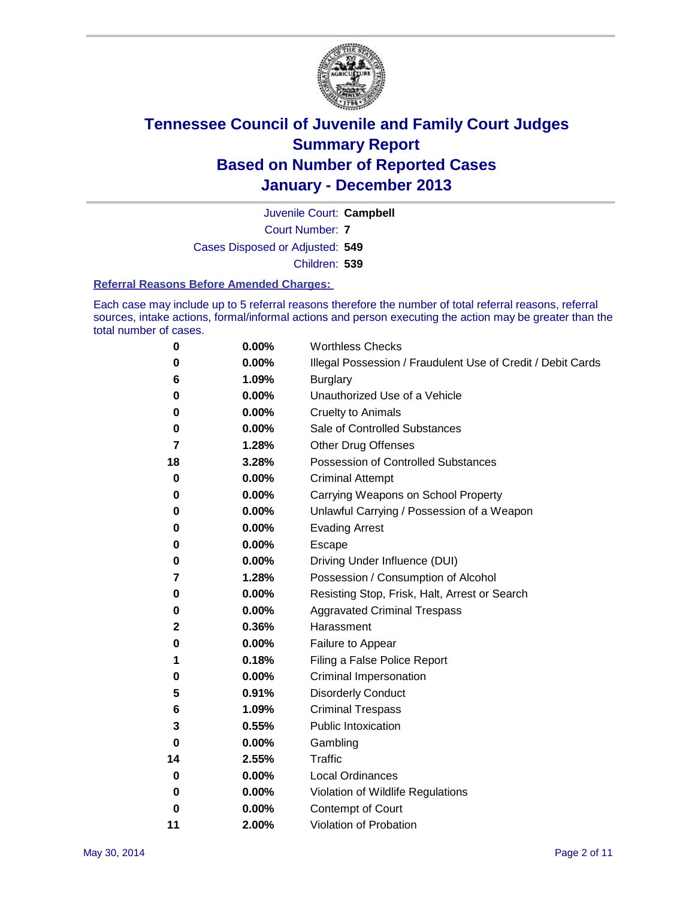

Court Number: **7** Juvenile Court: **Campbell** Cases Disposed or Adjusted: **549** Children: **539**

#### **Referral Reasons Before Amended Charges:**

Each case may include up to 5 referral reasons therefore the number of total referral reasons, referral sources, intake actions, formal/informal actions and person executing the action may be greater than the total number of cases.

| 0  | 0.00% | <b>Worthless Checks</b>                                     |
|----|-------|-------------------------------------------------------------|
| 0  | 0.00% | Illegal Possession / Fraudulent Use of Credit / Debit Cards |
| 6  | 1.09% | <b>Burglary</b>                                             |
| 0  | 0.00% | Unauthorized Use of a Vehicle                               |
| 0  | 0.00% | <b>Cruelty to Animals</b>                                   |
| 0  | 0.00% | Sale of Controlled Substances                               |
| 7  | 1.28% | <b>Other Drug Offenses</b>                                  |
| 18 | 3.28% | Possession of Controlled Substances                         |
| 0  | 0.00% | <b>Criminal Attempt</b>                                     |
| 0  | 0.00% | Carrying Weapons on School Property                         |
| 0  | 0.00% | Unlawful Carrying / Possession of a Weapon                  |
| 0  | 0.00% | <b>Evading Arrest</b>                                       |
| 0  | 0.00% | Escape                                                      |
| 0  | 0.00% | Driving Under Influence (DUI)                               |
| 7  | 1.28% | Possession / Consumption of Alcohol                         |
| 0  | 0.00% | Resisting Stop, Frisk, Halt, Arrest or Search               |
| 0  | 0.00% | <b>Aggravated Criminal Trespass</b>                         |
| 2  | 0.36% | Harassment                                                  |
| 0  | 0.00% | Failure to Appear                                           |
| 1  | 0.18% | Filing a False Police Report                                |
| 0  | 0.00% | Criminal Impersonation                                      |
| 5  | 0.91% | <b>Disorderly Conduct</b>                                   |
| 6  | 1.09% | <b>Criminal Trespass</b>                                    |
| 3  | 0.55% | <b>Public Intoxication</b>                                  |
| 0  | 0.00% | Gambling                                                    |
| 14 | 2.55% | Traffic                                                     |
| 0  | 0.00% | <b>Local Ordinances</b>                                     |
| 0  | 0.00% | Violation of Wildlife Regulations                           |
| 0  | 0.00% | Contempt of Court                                           |
| 11 | 2.00% | Violation of Probation                                      |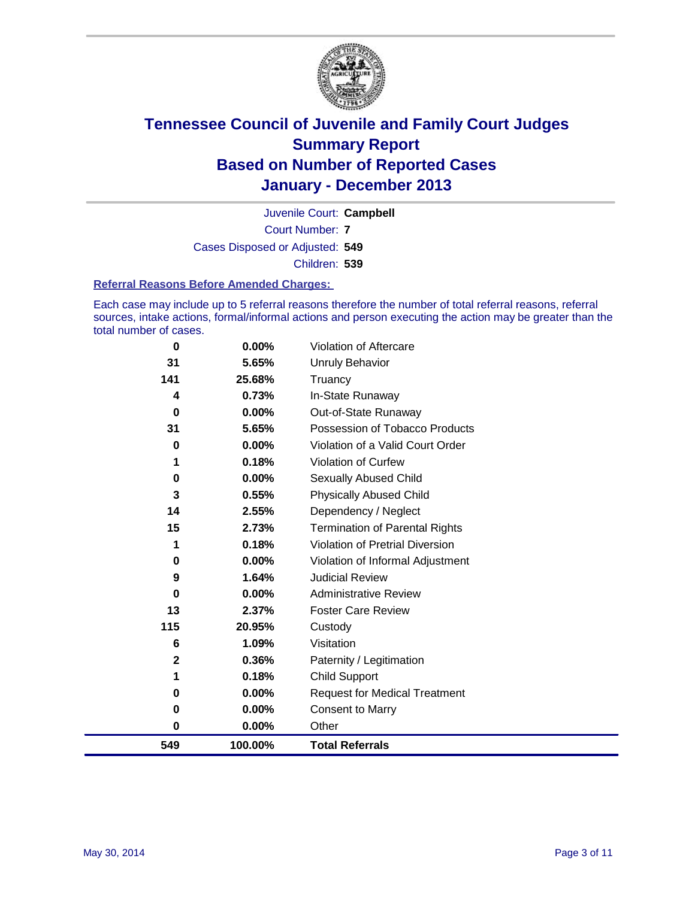

Court Number: **7** Juvenile Court: **Campbell** Cases Disposed or Adjusted: **549** Children: **539**

#### **Referral Reasons Before Amended Charges:**

Each case may include up to 5 referral reasons therefore the number of total referral reasons, referral sources, intake actions, formal/informal actions and person executing the action may be greater than the total number of cases.

| $\bf{0}$     | 0.00%   | Violation of Aftercare                 |
|--------------|---------|----------------------------------------|
| 31           | 5.65%   | <b>Unruly Behavior</b>                 |
| 141          | 25.68%  | Truancy                                |
| 4            | 0.73%   | In-State Runaway                       |
| 0            | 0.00%   | Out-of-State Runaway                   |
| 31           | 5.65%   | Possession of Tobacco Products         |
| 0            | 0.00%   | Violation of a Valid Court Order       |
|              | 0.18%   | Violation of Curfew                    |
| 0            | 0.00%   | <b>Sexually Abused Child</b>           |
| 3            | 0.55%   | <b>Physically Abused Child</b>         |
| 14           | 2.55%   | Dependency / Neglect                   |
| 15           | 2.73%   | <b>Termination of Parental Rights</b>  |
|              | 0.18%   | <b>Violation of Pretrial Diversion</b> |
| 0            | 0.00%   | Violation of Informal Adjustment       |
| 9            | 1.64%   | <b>Judicial Review</b>                 |
| 0            | 0.00%   | <b>Administrative Review</b>           |
| 13           | 2.37%   | <b>Foster Care Review</b>              |
| 115          | 20.95%  | Custody                                |
| 6            | 1.09%   | Visitation                             |
| $\mathbf{2}$ | 0.36%   | Paternity / Legitimation               |
|              | 0.18%   | <b>Child Support</b>                   |
| 0            | 0.00%   | <b>Request for Medical Treatment</b>   |
| 0            | 0.00%   | <b>Consent to Marry</b>                |
| 0            | 0.00%   | Other                                  |
| 549          | 100.00% | <b>Total Referrals</b>                 |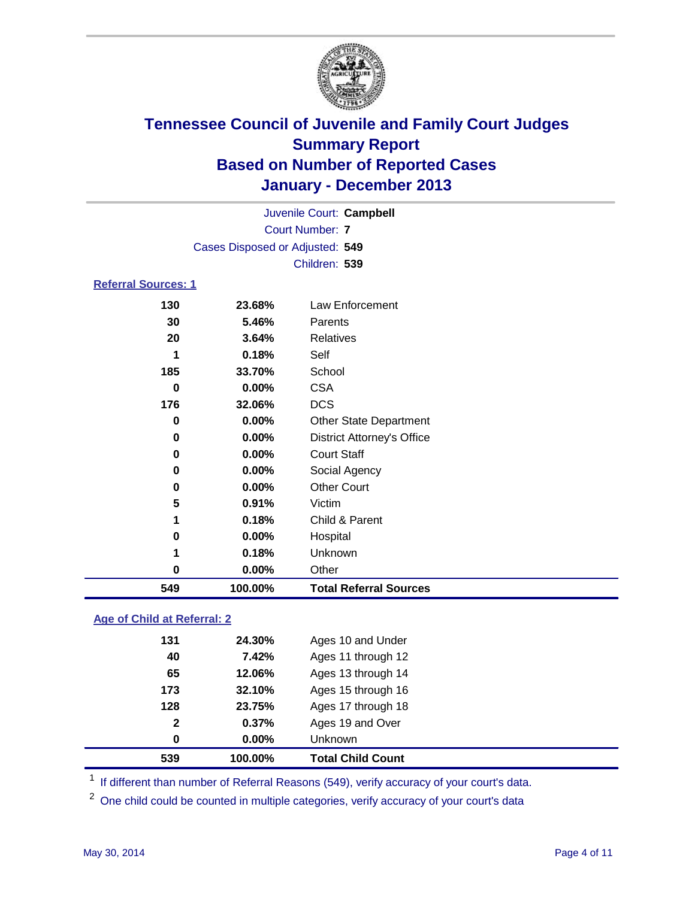

| 549                        | 100.00%                         | <b>Total Referral Sources</b>     |  |  |  |  |
|----------------------------|---------------------------------|-----------------------------------|--|--|--|--|
| 0                          | 0.00%                           | Other                             |  |  |  |  |
| 1                          | 0.18%                           | Unknown                           |  |  |  |  |
| 0                          | 0.00%                           | Hospital                          |  |  |  |  |
| 1                          | 0.18%                           | Child & Parent                    |  |  |  |  |
| 5                          | 0.91%                           | Victim                            |  |  |  |  |
| 0                          | 0.00%                           | <b>Other Court</b>                |  |  |  |  |
| 0                          | 0.00%                           | Social Agency                     |  |  |  |  |
| 0                          | 0.00%                           | <b>Court Staff</b>                |  |  |  |  |
| 0                          | 0.00%                           | <b>District Attorney's Office</b> |  |  |  |  |
| 0                          | 0.00%                           | <b>Other State Department</b>     |  |  |  |  |
| 176                        | 32.06%                          | <b>DCS</b>                        |  |  |  |  |
| $\bf{0}$                   | $0.00\%$                        | <b>CSA</b>                        |  |  |  |  |
| 185                        | 33.70%                          | School                            |  |  |  |  |
| 1                          | 0.18%                           | Self                              |  |  |  |  |
| 20                         | 3.64%                           | <b>Relatives</b>                  |  |  |  |  |
| 30                         | 5.46%                           | Parents                           |  |  |  |  |
| 130                        | 23.68%                          | Law Enforcement                   |  |  |  |  |
| <b>Referral Sources: 1</b> |                                 |                                   |  |  |  |  |
|                            |                                 | Children: 539                     |  |  |  |  |
|                            | Cases Disposed or Adjusted: 549 |                                   |  |  |  |  |
|                            | <b>Court Number: 7</b>          |                                   |  |  |  |  |
|                            | Juvenile Court: Campbell        |                                   |  |  |  |  |

### **Age of Child at Referral: 2**

| 539          | 100.00% | <b>Total Child Count</b> |
|--------------|---------|--------------------------|
| 0            | 0.00%   | <b>Unknown</b>           |
| $\mathbf{2}$ | 0.37%   | Ages 19 and Over         |
| 128          | 23.75%  | Ages 17 through 18       |
| 173          | 32.10%  | Ages 15 through 16       |
| 65           | 12.06%  | Ages 13 through 14       |
| 40           | 7.42%   | Ages 11 through 12       |
| 131          | 24.30%  | Ages 10 and Under        |
|              |         |                          |

<sup>1</sup> If different than number of Referral Reasons (549), verify accuracy of your court's data.

<sup>2</sup> One child could be counted in multiple categories, verify accuracy of your court's data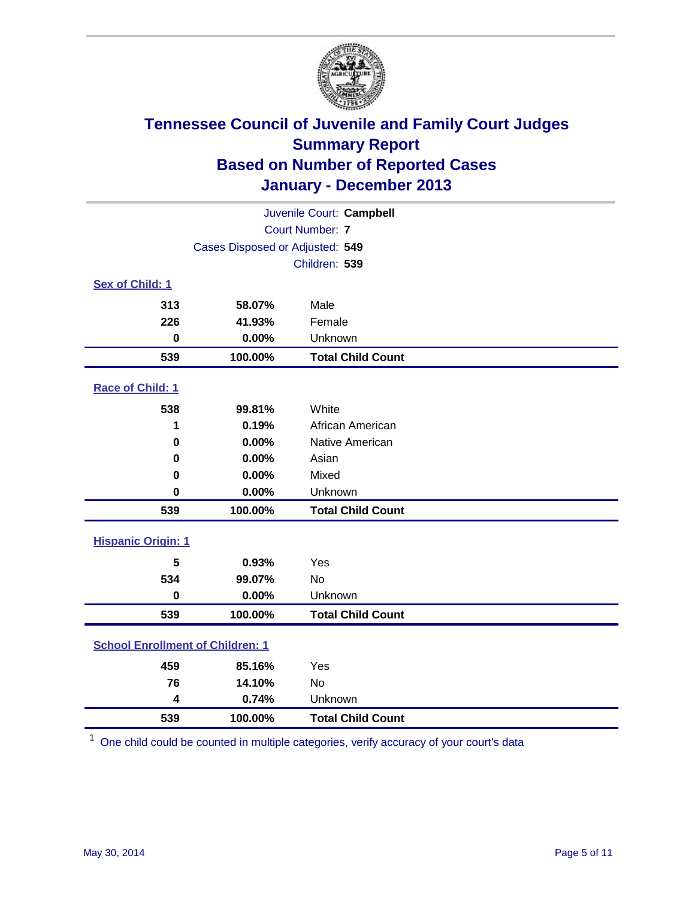

| Juvenile Court: Campbell                |                                 |                          |  |  |  |
|-----------------------------------------|---------------------------------|--------------------------|--|--|--|
|                                         | <b>Court Number: 7</b>          |                          |  |  |  |
|                                         | Cases Disposed or Adjusted: 549 |                          |  |  |  |
|                                         |                                 | Children: 539            |  |  |  |
| Sex of Child: 1                         |                                 |                          |  |  |  |
| 313                                     | 58.07%                          | Male                     |  |  |  |
| 226                                     | 41.93%                          | Female                   |  |  |  |
| $\bf{0}$                                | 0.00%                           | Unknown                  |  |  |  |
| 539                                     | 100.00%                         | <b>Total Child Count</b> |  |  |  |
| Race of Child: 1                        |                                 |                          |  |  |  |
| 538                                     | 99.81%                          | White                    |  |  |  |
| 1                                       | 0.19%                           | African American         |  |  |  |
| $\bf{0}$                                | 0.00%                           | Native American          |  |  |  |
| $\bf{0}$                                | 0.00%                           | Asian                    |  |  |  |
| 0                                       | 0.00%                           | Mixed                    |  |  |  |
| $\bf{0}$                                | 0.00%                           | Unknown                  |  |  |  |
| 539                                     | 100.00%                         | <b>Total Child Count</b> |  |  |  |
| <b>Hispanic Origin: 1</b>               |                                 |                          |  |  |  |
| 5                                       | 0.93%                           | Yes                      |  |  |  |
| 534                                     | 99.07%                          | No                       |  |  |  |
| $\mathbf 0$                             | 0.00%                           | Unknown                  |  |  |  |
| 539                                     | 100.00%                         | <b>Total Child Count</b> |  |  |  |
| <b>School Enrollment of Children: 1</b> |                                 |                          |  |  |  |
| 459                                     | 85.16%                          | Yes                      |  |  |  |
| 76                                      | 14.10%                          | <b>No</b>                |  |  |  |
| $\overline{\mathbf{4}}$                 | 0.74%                           | Unknown                  |  |  |  |
| 539                                     | 100.00%                         | <b>Total Child Count</b> |  |  |  |

One child could be counted in multiple categories, verify accuracy of your court's data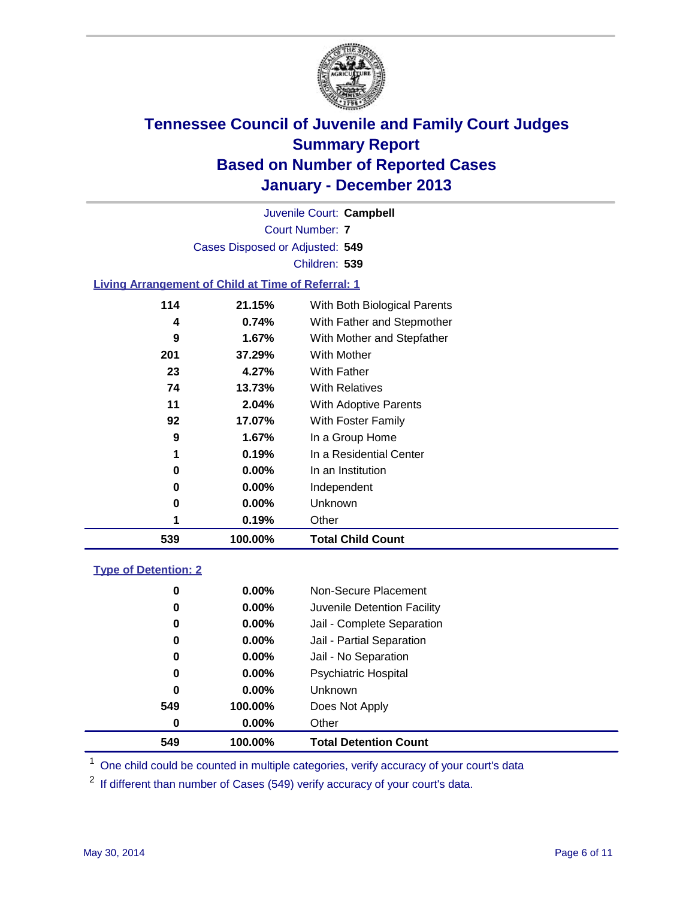

Court Number: **7** Juvenile Court: **Campbell** Cases Disposed or Adjusted: **549** Children: **539**

### **Living Arrangement of Child at Time of Referral: 1**

| 539 | 100.00%  | <b>Total Child Count</b>     |
|-----|----------|------------------------------|
| 1   | 0.19%    | Other                        |
| 0   | $0.00\%$ | Unknown                      |
| 0   | $0.00\%$ | Independent                  |
| 0   | 0.00%    | In an Institution            |
| 1   | 0.19%    | In a Residential Center      |
| 9   | 1.67%    | In a Group Home              |
| 92  | 17.07%   | With Foster Family           |
| 11  | 2.04%    | <b>With Adoptive Parents</b> |
| 74  | 13.73%   | <b>With Relatives</b>        |
| 23  | 4.27%    | With Father                  |
| 201 | 37.29%   | With Mother                  |
| 9   | 1.67%    | With Mother and Stepfather   |
| 4   | 0.74%    | With Father and Stepmother   |
| 114 | 21.15%   | With Both Biological Parents |
|     |          |                              |

### **Type of Detention: 2**

| 549 | 100.00%  | <b>Total Detention Count</b> |
|-----|----------|------------------------------|
| 0   | $0.00\%$ | Other                        |
| 549 | 100.00%  | Does Not Apply               |
| 0   | $0.00\%$ | <b>Unknown</b>               |
| 0   | $0.00\%$ | <b>Psychiatric Hospital</b>  |
| 0   | 0.00%    | Jail - No Separation         |
| 0   | 0.00%    | Jail - Partial Separation    |
| 0   | 0.00%    | Jail - Complete Separation   |
| 0   | 0.00%    | Juvenile Detention Facility  |
| 0   | 0.00%    | Non-Secure Placement         |
|     |          |                              |

<sup>1</sup> One child could be counted in multiple categories, verify accuracy of your court's data

If different than number of Cases (549) verify accuracy of your court's data.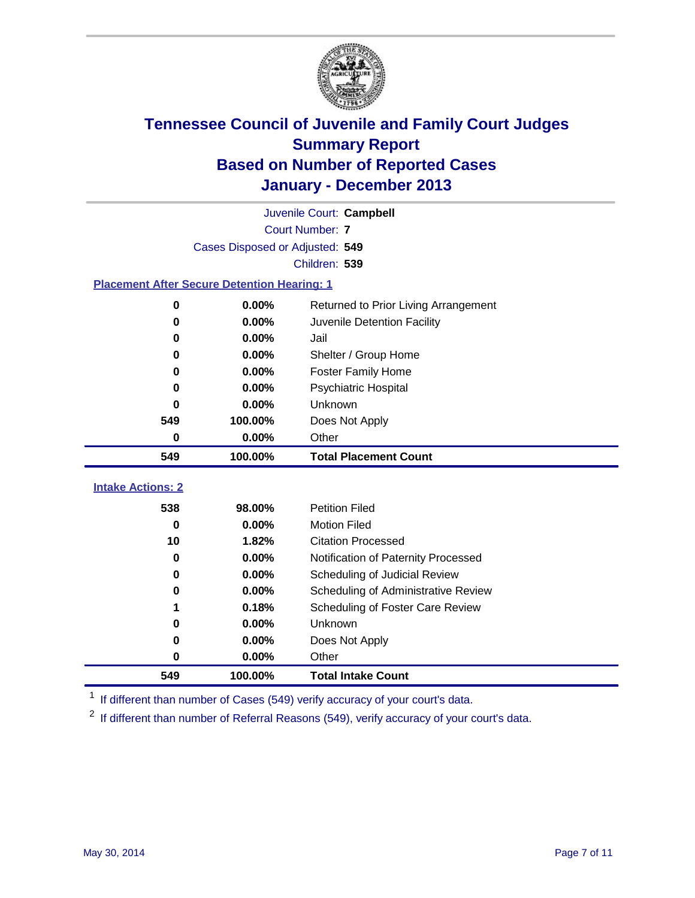

|                                                    | Juvenile Court: Campbell        |                                      |  |  |  |  |  |
|----------------------------------------------------|---------------------------------|--------------------------------------|--|--|--|--|--|
|                                                    | <b>Court Number: 7</b>          |                                      |  |  |  |  |  |
|                                                    | Cases Disposed or Adjusted: 549 |                                      |  |  |  |  |  |
|                                                    | Children: 539                   |                                      |  |  |  |  |  |
| <b>Placement After Secure Detention Hearing: 1</b> |                                 |                                      |  |  |  |  |  |
| 0                                                  | 0.00%                           | Returned to Prior Living Arrangement |  |  |  |  |  |
| 0                                                  | 0.00%                           | Juvenile Detention Facility          |  |  |  |  |  |
| 0                                                  | 0.00%                           | Jail                                 |  |  |  |  |  |
| 0                                                  | 0.00%                           | Shelter / Group Home                 |  |  |  |  |  |
| 0                                                  | 0.00%                           | Foster Family Home                   |  |  |  |  |  |
| 0                                                  | 0.00%                           | Psychiatric Hospital                 |  |  |  |  |  |
| 0                                                  | 0.00%                           | Unknown                              |  |  |  |  |  |
| 549                                                | 100.00%                         | Does Not Apply                       |  |  |  |  |  |
| 0                                                  | 0.00%                           | Other                                |  |  |  |  |  |
| 549                                                | 100.00%                         | <b>Total Placement Count</b>         |  |  |  |  |  |
|                                                    |                                 |                                      |  |  |  |  |  |
| <b>Intake Actions: 2</b>                           |                                 |                                      |  |  |  |  |  |
| 538                                                | 98.00%                          | <b>Petition Filed</b>                |  |  |  |  |  |
| 0                                                  | 0.00%                           | <b>Motion Filed</b>                  |  |  |  |  |  |
| 10                                                 | 1.82%                           | <b>Citation Processed</b>            |  |  |  |  |  |
| 0                                                  | 0.00%                           | Notification of Paternity Processed  |  |  |  |  |  |
| $\bf{0}$                                           | 0.00%                           | Scheduling of Judicial Review        |  |  |  |  |  |
| 0                                                  | 0.00%                           | Scheduling of Administrative Review  |  |  |  |  |  |
| 1                                                  | 0.18%                           | Scheduling of Foster Care Review     |  |  |  |  |  |
| 0                                                  | 0.00%                           | Unknown                              |  |  |  |  |  |
| 0                                                  | 0.00%                           | Does Not Apply                       |  |  |  |  |  |
| 0                                                  | 0.00%                           | Other                                |  |  |  |  |  |
| 549                                                | 100.00%                         | <b>Total Intake Count</b>            |  |  |  |  |  |

<sup>1</sup> If different than number of Cases (549) verify accuracy of your court's data.

If different than number of Referral Reasons (549), verify accuracy of your court's data.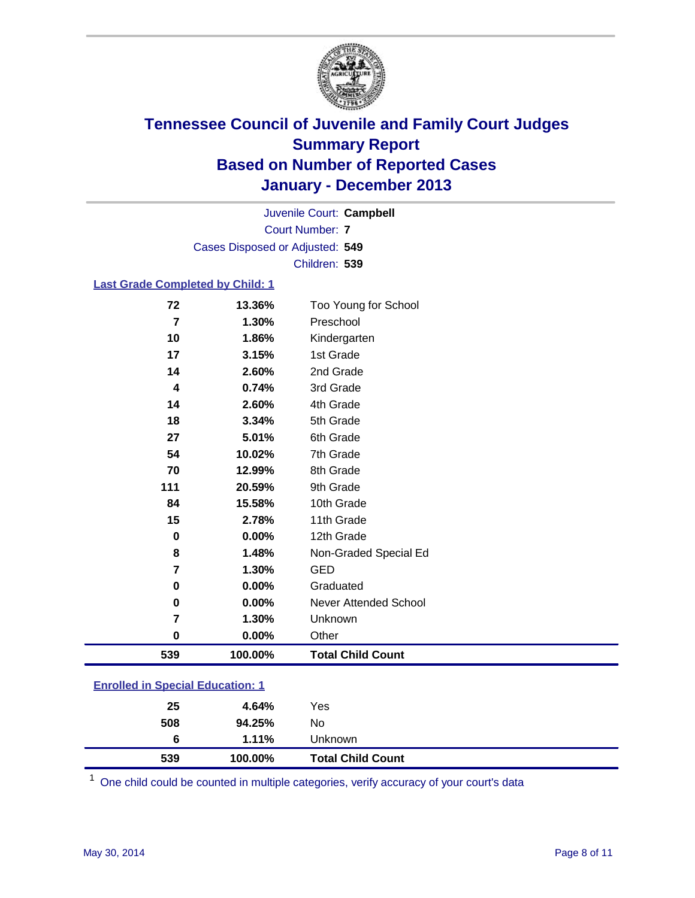

Court Number: **7** Juvenile Court: **Campbell** Cases Disposed or Adjusted: **549** Children: **539**

### **Last Grade Completed by Child: 1**

| 72       | 13.36%  | Too Young for School         |
|----------|---------|------------------------------|
| 7        | 1.30%   | Preschool                    |
| 10       | 1.86%   | Kindergarten                 |
| 17       | 3.15%   | 1st Grade                    |
| 14       | 2.60%   | 2nd Grade                    |
| 4        | 0.74%   | 3rd Grade                    |
| 14       | 2.60%   | 4th Grade                    |
| 18       | 3.34%   | 5th Grade                    |
| 27       | 5.01%   | 6th Grade                    |
| 54       | 10.02%  | 7th Grade                    |
| 70       | 12.99%  | 8th Grade                    |
| 111      | 20.59%  | 9th Grade                    |
| 84       | 15.58%  | 10th Grade                   |
| 15       | 2.78%   | 11th Grade                   |
| $\bf{0}$ | 0.00%   | 12th Grade                   |
| 8        | 1.48%   | Non-Graded Special Ed        |
| 7        | 1.30%   | <b>GED</b>                   |
| $\bf{0}$ | 0.00%   | Graduated                    |
| $\bf{0}$ | 0.00%   | <b>Never Attended School</b> |
| 7        | 1.30%   | Unknown                      |
| $\bf{0}$ | 0.00%   | Other                        |
| 539      | 100.00% | <b>Total Child Count</b>     |

|  | <b>Enrolled in Special Education: 1</b> |
|--|-----------------------------------------|
|  |                                         |

| 539 | 100.00%  | <b>Total Child Count</b> |  |
|-----|----------|--------------------------|--|
| 6   | $1.11\%$ | Unknown                  |  |
| 508 | 94.25%   | No                       |  |
| 25  | 4.64%    | Yes                      |  |
|     |          |                          |  |

One child could be counted in multiple categories, verify accuracy of your court's data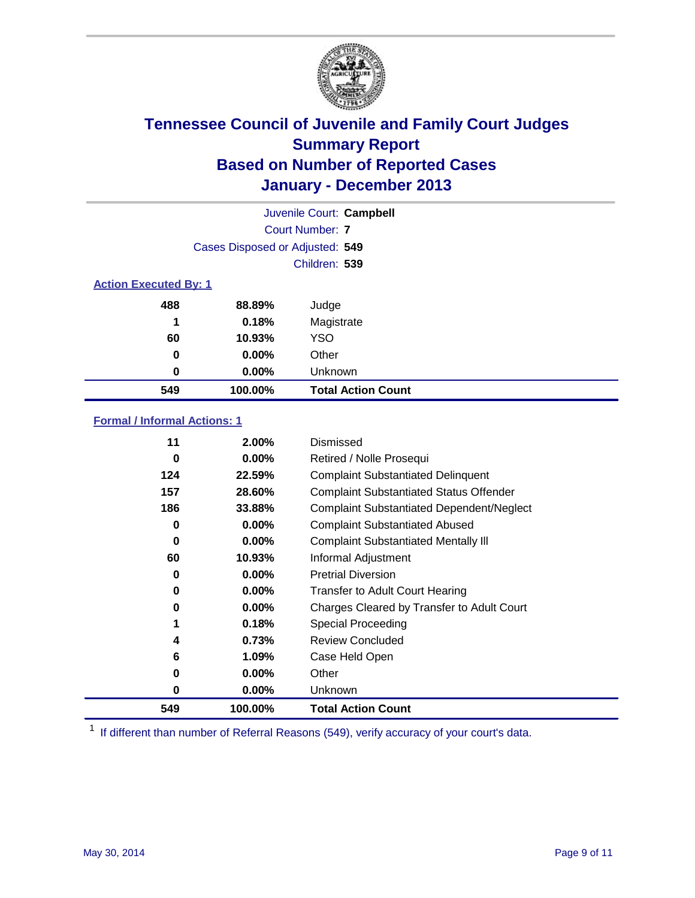

|                              |                                 | Juvenile Court: Campbell  |
|------------------------------|---------------------------------|---------------------------|
|                              |                                 | Court Number: 7           |
|                              | Cases Disposed or Adjusted: 549 |                           |
|                              |                                 | Children: 539             |
| <b>Action Executed By: 1</b> |                                 |                           |
| 488                          | 88.89%                          | Judge                     |
| 1                            | 0.18%                           | Magistrate                |
| 60                           | 10.93%                          | <b>YSO</b>                |
| 0                            | $0.00\%$                        | Other                     |
| 0                            | $0.00\%$                        | Unknown                   |
| 549                          | 100.00%                         | <b>Total Action Count</b> |

### **Formal / Informal Actions: 1**

| 11  | 2.00%    | Dismissed                                        |
|-----|----------|--------------------------------------------------|
| 0   | $0.00\%$ | Retired / Nolle Prosequi                         |
| 124 | 22.59%   | <b>Complaint Substantiated Delinquent</b>        |
| 157 | 28.60%   | <b>Complaint Substantiated Status Offender</b>   |
| 186 | 33.88%   | <b>Complaint Substantiated Dependent/Neglect</b> |
| 0   | $0.00\%$ | <b>Complaint Substantiated Abused</b>            |
| 0   | $0.00\%$ | <b>Complaint Substantiated Mentally III</b>      |
| 60  | 10.93%   | Informal Adjustment                              |
| 0   | 0.00%    | <b>Pretrial Diversion</b>                        |
| 0   | $0.00\%$ | <b>Transfer to Adult Court Hearing</b>           |
| 0   | $0.00\%$ | Charges Cleared by Transfer to Adult Court       |
| 1   | 0.18%    | Special Proceeding                               |
| 4   | 0.73%    | <b>Review Concluded</b>                          |
| 6   | 1.09%    | Case Held Open                                   |
| 0   | $0.00\%$ | Other                                            |
| 0   | $0.00\%$ | Unknown                                          |
| 549 | 100.00%  | <b>Total Action Count</b>                        |

<sup>1</sup> If different than number of Referral Reasons (549), verify accuracy of your court's data.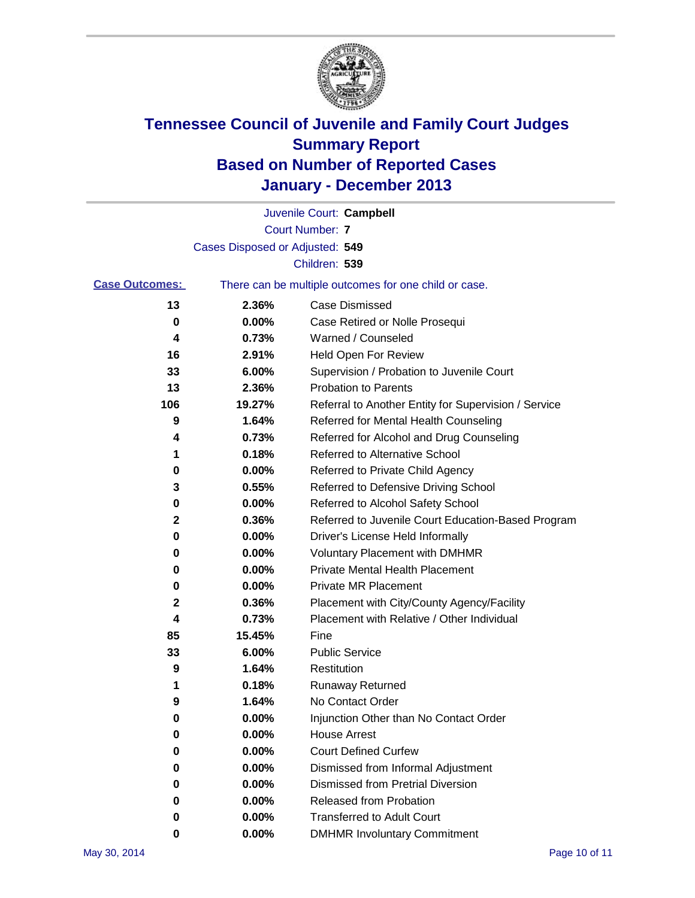

|                       |                                 | Juvenile Court: Campbell                              |
|-----------------------|---------------------------------|-------------------------------------------------------|
|                       |                                 | <b>Court Number: 7</b>                                |
|                       | Cases Disposed or Adjusted: 549 |                                                       |
|                       |                                 | Children: 539                                         |
| <b>Case Outcomes:</b> |                                 | There can be multiple outcomes for one child or case. |
| 13                    | 2.36%                           | Case Dismissed                                        |
| 0                     | $0.00\%$                        | Case Retired or Nolle Prosequi                        |
| 4                     | 0.73%                           | Warned / Counseled                                    |
| 16                    | 2.91%                           | <b>Held Open For Review</b>                           |
| 33                    | 6.00%                           | Supervision / Probation to Juvenile Court             |
| 13                    | 2.36%                           | <b>Probation to Parents</b>                           |
| 106                   | 19.27%                          | Referral to Another Entity for Supervision / Service  |
| 9                     | 1.64%                           | Referred for Mental Health Counseling                 |
| 4                     | 0.73%                           | Referred for Alcohol and Drug Counseling              |
| 1                     | 0.18%                           | <b>Referred to Alternative School</b>                 |
| 0                     | 0.00%                           | Referred to Private Child Agency                      |
| 3                     | 0.55%                           | Referred to Defensive Driving School                  |
| 0                     | 0.00%                           | Referred to Alcohol Safety School                     |
| 2                     | 0.36%                           | Referred to Juvenile Court Education-Based Program    |
| 0                     | 0.00%                           | Driver's License Held Informally                      |
| 0                     | 0.00%                           | <b>Voluntary Placement with DMHMR</b>                 |
| 0                     | 0.00%                           | <b>Private Mental Health Placement</b>                |
| 0                     | 0.00%                           | <b>Private MR Placement</b>                           |
| 2                     | 0.36%                           | Placement with City/County Agency/Facility            |
| 4                     | 0.73%                           | Placement with Relative / Other Individual            |
| 85                    | 15.45%                          | Fine                                                  |
| 33                    | 6.00%                           | <b>Public Service</b>                                 |
| 9                     | 1.64%                           | Restitution                                           |
| 1                     | 0.18%                           | <b>Runaway Returned</b>                               |
| 9                     | 1.64%                           | No Contact Order                                      |
| U                     | 0.00%                           | Injunction Other than No Contact Order                |
| 0                     | 0.00%                           | <b>House Arrest</b>                                   |
| 0                     | 0.00%                           | <b>Court Defined Curfew</b>                           |
| 0                     | 0.00%                           | Dismissed from Informal Adjustment                    |
| 0                     | 0.00%                           | <b>Dismissed from Pretrial Diversion</b>              |
| 0                     | 0.00%                           | Released from Probation                               |
| 0                     | 0.00%                           | <b>Transferred to Adult Court</b>                     |
| 0                     | $0.00\%$                        | <b>DMHMR Involuntary Commitment</b>                   |